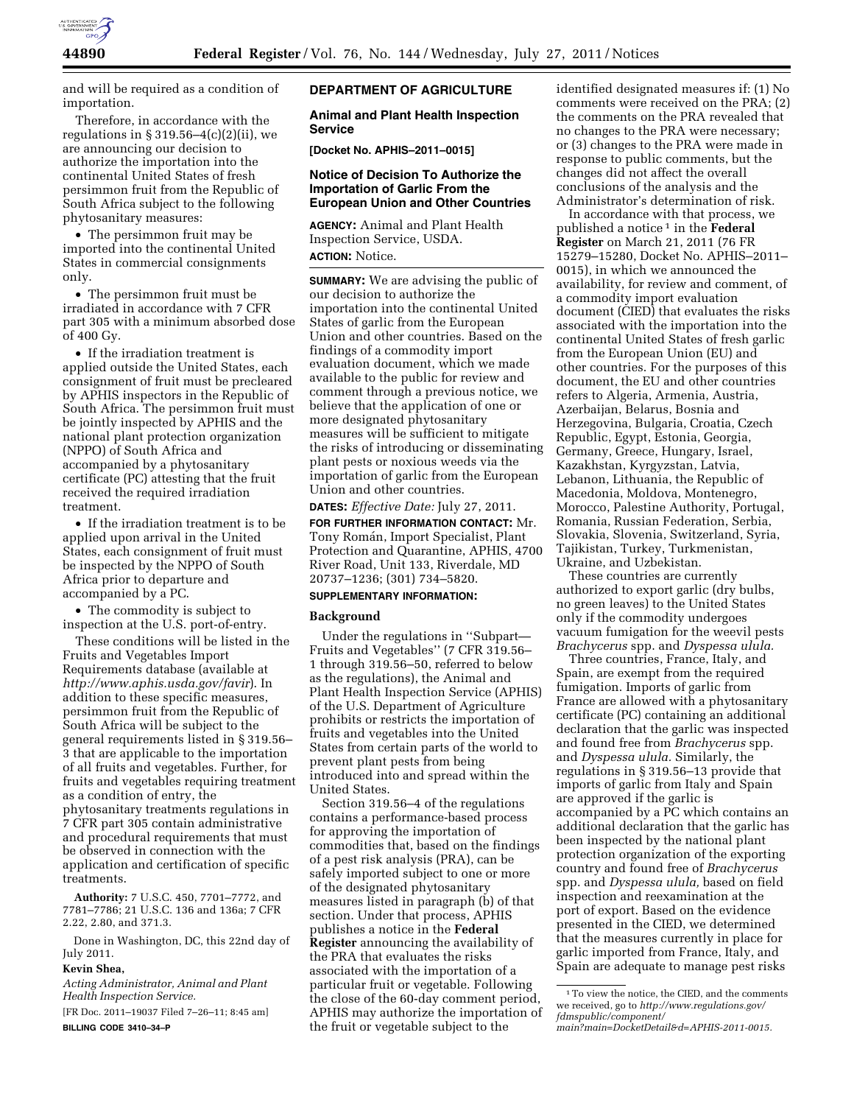

and will be required as a condition of importation.

Therefore, in accordance with the regulations in  $\S 319.56 - 4(c)(2)(ii)$ , we are announcing our decision to authorize the importation into the continental United States of fresh persimmon fruit from the Republic of South Africa subject to the following phytosanitary measures:

• The persimmon fruit may be imported into the continental United States in commercial consignments only.

• The persimmon fruit must be irradiated in accordance with 7 CFR part 305 with a minimum absorbed dose of 400 Gy.

• If the irradiation treatment is applied outside the United States, each consignment of fruit must be precleared by APHIS inspectors in the Republic of South Africa. The persimmon fruit must be jointly inspected by APHIS and the national plant protection organization (NPPO) of South Africa and accompanied by a phytosanitary certificate (PC) attesting that the fruit received the required irradiation treatment.

• If the irradiation treatment is to be applied upon arrival in the United States, each consignment of fruit must be inspected by the NPPO of South Africa prior to departure and accompanied by a PC.

• The commodity is subject to inspection at the U.S. port-of-entry.

These conditions will be listed in the Fruits and Vegetables Import Requirements database (available at *<http://www.aphis.usda.gov/favir>*). In addition to these specific measures, persimmon fruit from the Republic of South Africa will be subject to the general requirements listed in § 319.56– 3 that are applicable to the importation of all fruits and vegetables. Further, for fruits and vegetables requiring treatment as a condition of entry, the phytosanitary treatments regulations in 7 CFR part 305 contain administrative and procedural requirements that must be observed in connection with the application and certification of specific treatments.

**Authority:** 7 U.S.C. 450, 7701–7772, and 7781–7786; 21 U.S.C. 136 and 136a; 7 CFR 2.22, 2.80, and 371.3.

Done in Washington, DC, this 22nd day of July 2011.

## **Kevin Shea,**

*Acting Administrator, Animal and Plant Health Inspection Service.* 

[FR Doc. 2011–19037 Filed 7–26–11; 8:45 am] **BILLING CODE 3410–34–P** 

# **DEPARTMENT OF AGRICULTURE**

## **Animal and Plant Health Inspection Service**

**[Docket No. APHIS–2011–0015]** 

## **Notice of Decision To Authorize the Importation of Garlic From the European Union and Other Countries**

**AGENCY:** Animal and Plant Health Inspection Service, USDA. **ACTION:** Notice.

**SUMMARY:** We are advising the public of our decision to authorize the importation into the continental United States of garlic from the European Union and other countries. Based on the findings of a commodity import evaluation document, which we made available to the public for review and comment through a previous notice, we believe that the application of one or more designated phytosanitary measures will be sufficient to mitigate the risks of introducing or disseminating plant pests or noxious weeds via the importation of garlic from the European Union and other countries.

**DATES:** *Effective Date:* July 27, 2011.

**FOR FURTHER INFORMATION CONTACT:** Mr. Tony Román, Import Specialist, Plant Protection and Quarantine, APHIS, 4700 River Road, Unit 133, Riverdale, MD 20737–1236; (301) 734–5820.

# **SUPPLEMENTARY INFORMATION:**

#### **Background**

Under the regulations in ''Subpart— Fruits and Vegetables'' (7 CFR 319.56– 1 through 319.56–50, referred to below as the regulations), the Animal and Plant Health Inspection Service (APHIS) of the U.S. Department of Agriculture prohibits or restricts the importation of fruits and vegetables into the United States from certain parts of the world to prevent plant pests from being introduced into and spread within the United States.

Section 319.56–4 of the regulations contains a performance-based process for approving the importation of commodities that, based on the findings of a pest risk analysis (PRA), can be safely imported subject to one or more of the designated phytosanitary measures listed in paragraph (b) of that section. Under that process, APHIS publishes a notice in the **Federal Register** announcing the availability of the PRA that evaluates the risks associated with the importation of a particular fruit or vegetable. Following the close of the 60-day comment period, APHIS may authorize the importation of the fruit or vegetable subject to the

identified designated measures if: (1) No comments were received on the PRA; (2) the comments on the PRA revealed that no changes to the PRA were necessary; or (3) changes to the PRA were made in response to public comments, but the changes did not affect the overall conclusions of the analysis and the Administrator's determination of risk.

In accordance with that process, we published a notice 1 in the **Federal Register** on March 21, 2011 (76 FR 15279–15280, Docket No. APHIS–2011– 0015), in which we announced the availability, for review and comment, of a commodity import evaluation document (CIED) that evaluates the risks associated with the importation into the continental United States of fresh garlic from the European Union (EU) and other countries. For the purposes of this document, the EU and other countries refers to Algeria, Armenia, Austria, Azerbaijan, Belarus, Bosnia and Herzegovina, Bulgaria, Croatia, Czech Republic, Egypt, Estonia, Georgia, Germany, Greece, Hungary, Israel, Kazakhstan, Kyrgyzstan, Latvia, Lebanon, Lithuania, the Republic of Macedonia, Moldova, Montenegro, Morocco, Palestine Authority, Portugal, Romania, Russian Federation, Serbia, Slovakia, Slovenia, Switzerland, Syria, Tajikistan, Turkey, Turkmenistan, Ukraine, and Uzbekistan.

These countries are currently authorized to export garlic (dry bulbs, no green leaves) to the United States only if the commodity undergoes vacuum fumigation for the weevil pests *Brachycerus* spp. and *Dyspessa ulula.* 

Three countries, France, Italy, and Spain, are exempt from the required fumigation. Imports of garlic from France are allowed with a phytosanitary certificate (PC) containing an additional declaration that the garlic was inspected and found free from *Brachycerus* spp. and *Dyspessa ulula.* Similarly, the regulations in § 319.56–13 provide that imports of garlic from Italy and Spain are approved if the garlic is accompanied by a PC which contains an additional declaration that the garlic has been inspected by the national plant protection organization of the exporting country and found free of *Brachycerus*  spp. and *Dyspessa ulula,* based on field inspection and reexamination at the port of export. Based on the evidence presented in the CIED, we determined that the measures currently in place for garlic imported from France, Italy, and Spain are adequate to manage pest risks

<sup>1</sup>To view the notice, the CIED, and the comments we received, go to *[http://www.regulations.gov/](http://www.regulations.gov/fdmspublic/component/main?main=DocketDetail&d=APHIS-2011-0015)  [fdmspublic/component/](http://www.regulations.gov/fdmspublic/component/main?main=DocketDetail&d=APHIS-2011-0015)* 

*[main?main=DocketDetail&d=APHIS-2011-0015.](http://www.regulations.gov/fdmspublic/component/main?main=DocketDetail&d=APHIS-2011-0015)*